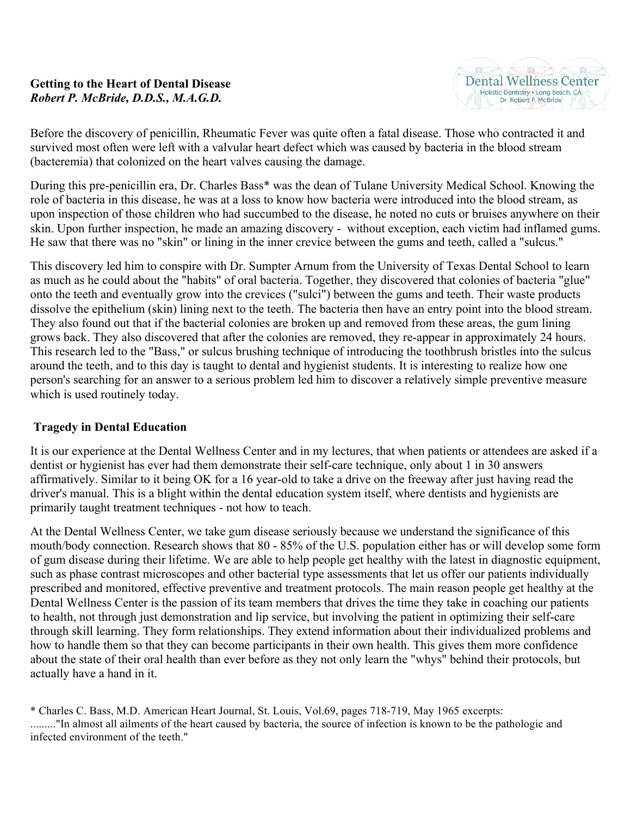## **Getting to the Heart of Dental Disease** *Robert P. McBride, D.D.S., M.A.G.D.*

Before the discovery of penicillin, Rheumatic Fever was quite often a fatal disease. Those who contracted it and survived most often were left with a valvular heart defect which was caused by bacteria in the blood stream (bacteremia) that colonized on the heart valves causing the damage.

During this pre-penicillin era, Dr. Charles Bass\* was the dean of Tulane University Medical School. Knowing the role of bacteria in this disease, he was at a loss to know how bacteria were introduced into the blood stream, as upon inspection of those children who had succumbed to the disease, he noted no cuts or bruises anywhere on their skin. Upon further inspection, he made an amazing discovery - without exception, each victim had inflamed gums. He saw that there was no "skin" or lining in the inner crevice between the gums and teeth, called a "sulcus."

This discovery led him to conspire with Dr. Sumpter Arnum from the University of Texas Dental School to learn as much as he could about the "habits" of oral bacteria. Together, they discovered that colonies of bacteria "glue" onto the teeth and eventually grow into the crevices ("sulci") between the gums and teeth. Their waste products dissolve the epithelium (skin) lining next to the teeth. The bacteria then have an entry point into the blood stream. They also found out that if the bacterial colonies are broken up and removed from these areas, the gum lining grows back. They also discovered that after the colonies are removed, they re-appear in approximately 24 hours. This research led to the "Bass," or sulcus brushing technique of introducing the toothbrush bristles into the sulcus around the teeth, and to this day is taught to dental and hygienist students. It is interesting to realize how one person's searching for an answer to a serious problem led him to discover a relatively simple preventive measure which is used routinely today.

## **Tragedy in Dental Education**

It is our experience at the Dental Wellness Center and in my lectures, that when patients or attendees are asked if a dentist or hygienist has ever had them demonstrate their self-care technique, only about 1 in 30 answers affirmatively. Similar to it being OK for a 16 year-old to take a drive on the freeway after just having read the driver's manual. This is a blight within the dental education system itself, where dentists and hygienists are primarily taught treatment techniques - not how to teach.

At the Dental Wellness Center, we take gum disease seriously because we understand the significance of this mouth/body connection. Research shows that 80 - 85% of the U.S. population either has or will develop some form of gum disease during their lifetime. We are able to help people get healthy with the latest in diagnostic equipment, such as phase contrast microscopes and other bacterial type assessments that let us offer our patients individually prescribed and monitored, effective preventive and treatment protocols. The main reason people get healthy at the Dental Wellness Center is the passion of its team members that drives the time they take in coaching our patients to health, not through just demonstration and lip service, but involving the patient in optimizing their self-care through skill learning. They form relationships. They extend information about their individualized problems and how to handle them so that they can become participants in their own health. This gives them more confidence about the state of their oral health than ever before as they not only learn the "whys" behind their protocols, but actually have a hand in it.

<sup>\*</sup> Charles C. Bass, M.D. American Heart Journal, St. Louis, Vol.69, pages 718-719, May 1965 excerpts: ........."In almost all ailments of the heart caused by bacteria, the source of infection is known to be the pathologic and infected environment of the teeth."